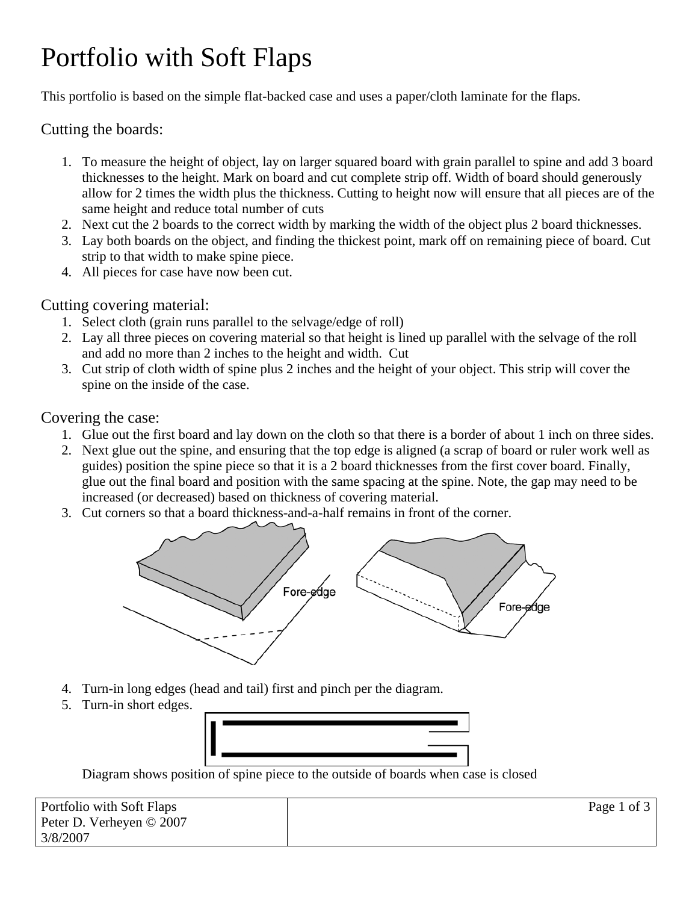# Portfolio with Soft Flaps

This portfolio is based on the simple flat-backed case and uses a paper/cloth laminate for the flaps.

### Cutting the boards:

- 1. To measure the height of object, lay on larger squared board with grain parallel to spine and add 3 board thicknesses to the height. Mark on board and cut complete strip off. Width of board should generously allow for 2 times the width plus the thickness. Cutting to height now will ensure that all pieces are of the same height and reduce total number of cuts
- 2. Next cut the 2 boards to the correct width by marking the width of the object plus 2 board thicknesses.
- 3. Lay both boards on the object, and finding the thickest point, mark off on remaining piece of board. Cut strip to that width to make spine piece.
- 4. All pieces for case have now been cut.

#### Cutting covering material:

- 1. Select cloth (grain runs parallel to the selvage/edge of roll)
- 2. Lay all three pieces on covering material so that height is lined up parallel with the selvage of the roll and add no more than 2 inches to the height and width. Cut
- 3. Cut strip of cloth width of spine plus 2 inches and the height of your object. This strip will cover the spine on the inside of the case.

#### Covering the case:

- 1. Glue out the first board and lay down on the cloth so that there is a border of about 1 inch on three sides.
- 2. Next glue out the spine, and ensuring that the top edge is aligned (a scrap of board or ruler work well as guides) position the spine piece so that it is a 2 board thicknesses from the first cover board. Finally, glue out the final board and position with the same spacing at the spine. Note, the gap may need to be increased (or decreased) based on thickness of covering material.
- 3. Cut corners so that a board thickness-and-a-half remains in front of the corner.



- 4. Turn-in long edges (head and tail) first and pinch per the diagram.
- 5. Turn-in short edges.



Diagram shows position of spine piece to the outside of boards when case is closed

| Portfolio with Soft Flaps | Page 1 of 3 |
|---------------------------|-------------|
| Peter D. Verheyen © 2007  |             |
| 3/8/2007                  |             |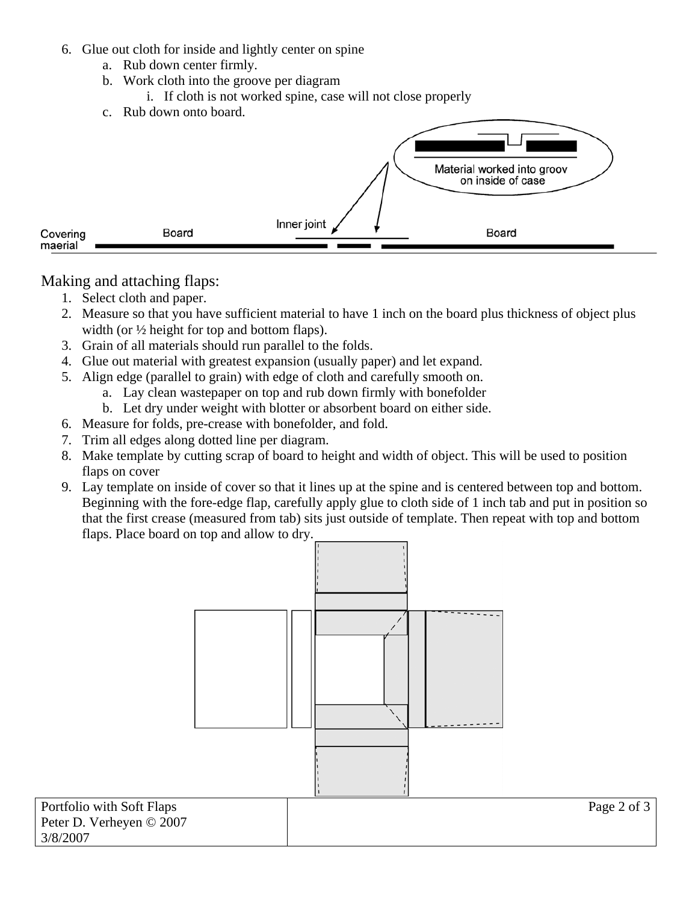- 6. Glue out cloth for inside and lightly center on spine
	- a. Rub down center firmly.
	- b. Work cloth into the groove per diagram
		- i. If cloth is not worked spine, case will not close properly
	- c. Rub down onto board.



Making and attaching flaps:

- 1. Select cloth and paper.
- 2. Measure so that you have sufficient material to have 1 inch on the board plus thickness of object plus width (or  $\frac{1}{2}$  height for top and bottom flaps).
- 3. Grain of all materials should run parallel to the folds.
- 4. Glue out material with greatest expansion (usually paper) and let expand.
- 5. Align edge (parallel to grain) with edge of cloth and carefully smooth on.
	- a. Lay clean wastepaper on top and rub down firmly with bonefolder
	- b. Let dry under weight with blotter or absorbent board on either side.
- 6. Measure for folds, pre-crease with bonefolder, and fold.
- 7. Trim all edges along dotted line per diagram.
- 8. Make template by cutting scrap of board to height and width of object. This will be used to position flaps on cover
- 9. Lay template on inside of cover so that it lines up at the spine and is centered between top and bottom. Beginning with the fore-edge flap, carefully apply glue to cloth side of 1 inch tab and put in position so that the first crease (measured from tab) sits just outside of template. Then repeat with top and bottom flaps. Place board on top and allow to dry.



Page 2 of 3